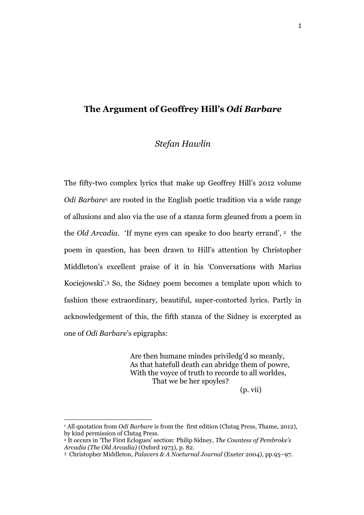# **The Argument of Geoffrey Hill's** *Odi Barbare*

# *Stefan Hawlin*

The fifty-two complex lyrics that make up Geoffrey Hill's 2012 volume *Odi Barbare*<sup>1</sup> are rooted in the English poetic tradition via a wide range of allusions and also via the use of a stanza form gleaned from a poem in the *Old Arcadia.* 'If myne eyes can speake to doo hearty errand', <sup>2</sup> the poem in question, has been drawn to Hill's attention by Christopher Middleton's excellent praise of it in his 'Conversations with Marius Kociejowski'. <sup>3</sup> So, the Sidney poem becomes a template upon which to fashion these extraordinary, beautiful, super-contorted lyrics. Partly in acknowledgement of this, the fifth stanza of the Sidney is excerpted as one of *Odi Barbare*'s epigraphs:

> Are then humane mindes priviledg'd so meanly, As that hatefull death can abridge them of powre, With the voyce of truth to recorde to all worldes, That we be her spoyles?

(p. vii)

<sup>&</sup>lt;sup>1</sup> All quotation from *Odi Barbare* is from the first edition (Clutag Press, Thame, 2012), by kind permission of Clutag Press.

<sup>2</sup> It occurs in 'The First Eclogues' section: Philip Sidney, *The Countess of Pembroke's Arcadia (The Old Arcadia)* (Oxford 1973), p. 82.

<sup>3</sup> Christopher Middleton, *Palavers & A Nocturnal Journal* (Exeter 2004), pp.95–97.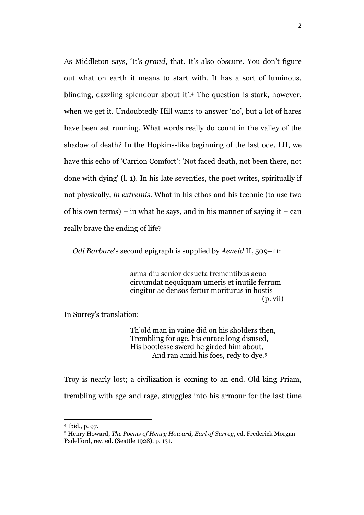As Middleton says, 'It's *grand*, that. It's also obscure. You don't figure out what on earth it means to start with. It has a sort of luminous, blinding, dazzling splendour about it'. <sup>4</sup> The question is stark, however, when we get it. Undoubtedly Hill wants to answer 'no', but a lot of hares have been set running. What words really do count in the valley of the shadow of death? In the Hopkins-like beginning of the last ode, LII, we have this echo of 'Carrion Comfort': 'Not faced death, not been there, not done with dying' (l. 1). In his late seventies, the poet writes, spiritually if not physically, *in extremis.* What in his ethos and his technic (to use two of his own terms) – in what he says, and in his manner of saying it – can really brave the ending of life?

*Odi Barbare*'s second epigraph is supplied by *Aeneid* II, 509–11:

arma diu senior desueta trementibus aeuo circumdat nequiquam umeris et inutile ferrum cingitur ac densos fertur moriturus in hostis (p. vii)

In Surrey's translation:

Th'old man in vaine did on his sholders then, Trembling for age, his curace long disused, His bootlesse swerd he girded him about, And ran amid his foes, redy to dye.<sup>5</sup>

Troy is nearly lost; a civilization is coming to an end. Old king Priam, trembling with age and rage, struggles into his armour for the last time

<sup>4</sup> Ibid., p. 97.

<sup>5</sup> Henry Howard, *The Poems of Henry Howard, Earl of Surrey*, ed. Frederick Morgan Padelford, rev. ed. (Seattle 1928), p. 131.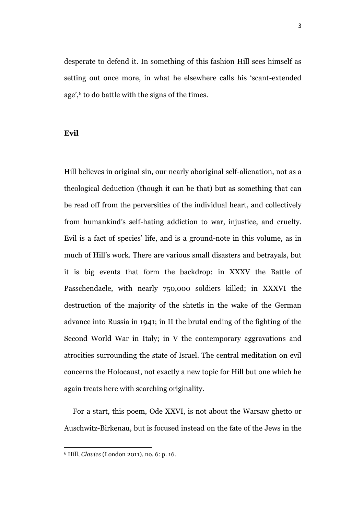desperate to defend it. In something of this fashion Hill sees himself as setting out once more, in what he elsewhere calls his 'scant-extended age',<sup>6</sup> to do battle with the signs of the times.

**Evil**

Hill believes in original sin, our nearly aboriginal self-alienation, not as a theological deduction (though it can be that) but as something that can be read off from the perversities of the individual heart, and collectively from humankind's self-hating addiction to war, injustice, and cruelty. Evil is a fact of species' life, and is a ground-note in this volume, as in much of Hill's work. There are various small disasters and betrayals, but it is big events that form the backdrop: in XXXV the Battle of Passchendaele, with nearly 750,000 soldiers killed; in XXXVI the destruction of the majority of the shtetls in the wake of the German advance into Russia in 1941; in II the brutal ending of the fighting of the Second World War in Italy; in V the contemporary aggravations and atrocities surrounding the state of Israel. The central meditation on evil concerns the Holocaust, not exactly a new topic for Hill but one which he again treats here with searching originality.

For a start, this poem, Ode XXVI, is not about the Warsaw ghetto or Auschwitz-Birkenau, but is focused instead on the fate of the Jews in the

<sup>6</sup> Hill, *Clavics* (London 2011), no. 6: p. 16.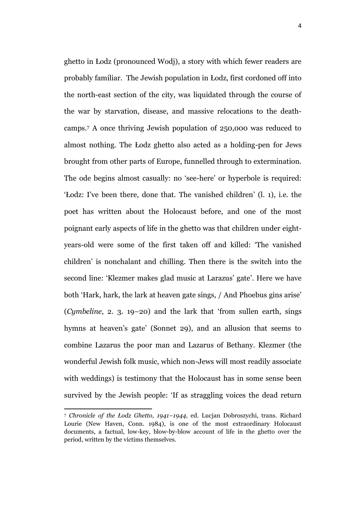ghetto in Łodz (pronounced Wodj), a story with which fewer readers are probably familiar. The Jewish population in Łodz, first cordoned off into the north-east section of the city, was liquidated through the course of the war by starvation, disease, and massive relocations to the deathcamps.<sup>7</sup> A once thriving Jewish population of 250,000 was reduced to almost nothing. The Łodz ghetto also acted as a holding-pen for Jews brought from other parts of Europe, funnelled through to extermination. The ode begins almost casually: no 'see-here' or hyperbole is required: 'Łodz: I've been there, done that. The vanished children' (l. 1), i.e. the poet has written about the Holocaust before, and one of the most poignant early aspects of life in the ghetto was that children under eightyears-old were some of the first taken off and killed: 'The vanished children' is nonchalant and chilling. Then there is the switch into the second line: 'Klezmer makes glad music at Larazus' gate'. Here we have both 'Hark, hark, the lark at heaven gate sings, / And Phoebus gins arise' (*Cymbeline*, 2. 3. 19–20) and the lark that 'from sullen earth, sings hymns at heaven's gate' (Sonnet 29), and an allusion that seems to combine Lazarus the poor man and Lazarus of Bethany. Klezmer (the wonderful Jewish folk music, which non-Jews will most readily associate with weddings) is testimony that the Holocaust has in some sense been survived by the Jewish people: 'If as straggling voices the dead return

<sup>7</sup> *Chronicle of the Łodz Ghetto, 1941–1944*, ed. Lucjan Dobroszychi, trans. Richard Lourie (New Haven, Conn. 1984), is one of the most extraordinary Holocaust documents, a factual, low-key, blow-by-blow account of life in the ghetto over the period, written by the victims themselves.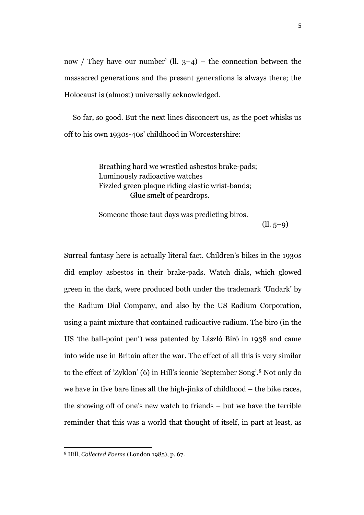now / They have our number' (ll.  $3-4$ ) – the connection between the massacred generations and the present generations is always there; the Holocaust is (almost) universally acknowledged.

So far, so good. But the next lines disconcert us, as the poet whisks us off to his own 1930s-40s' childhood in Worcestershire:

> Breathing hard we wrestled asbestos brake-pads; Luminously radioactive watches Fizzled green plaque riding elastic wrist-bands; Glue smelt of peardrops.

Someone those taut days was predicting biros.

 $(11.5-9)$ 

Surreal fantasy here is actually literal fact. Children's bikes in the 1930s did employ asbestos in their brake-pads. Watch dials, which glowed green in the dark, were produced both under the trademark 'Undark' by the Radium Dial Company, and also by the US Radium Corporation, using a paint mixture that contained radioactive radium. The biro (in the US 'the ball-point pen') was patented by László Bíró in 1938 and came into wide use in Britain after the war. The effect of all this is very similar to the effect of 'Zyklon' (6) in Hill's iconic 'September Song'. <sup>8</sup> Not only do we have in five bare lines all the high-jinks of childhood – the bike races, the showing off of one's new watch to friends – but we have the terrible reminder that this was a world that thought of itself, in part at least, as

<sup>8</sup> Hill, *Collected Poems* (London 1985), p. 67.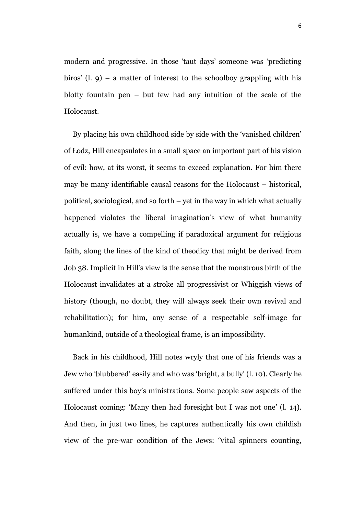modern and progressive. In those 'taut days' someone was 'predicting biros' (l.  $\varphi$ ) – a matter of interest to the schoolboy grappling with his blotty fountain pen – but few had any intuition of the scale of the Holocaust.

By placing his own childhood side by side with the 'vanished children' of Łodz, Hill encapsulates in a small space an important part of his vision of evil: how, at its worst, it seems to exceed explanation. For him there may be many identifiable causal reasons for the Holocaust – historical, political, sociological, and so forth – yet in the way in which what actually happened violates the liberal imagination's view of what humanity actually is, we have a compelling if paradoxical argument for religious faith, along the lines of the kind of theodicy that might be derived from Job 38. Implicit in Hill's view is the sense that the monstrous birth of the Holocaust invalidates at a stroke all progressivist or Whiggish views of history (though, no doubt, they will always seek their own revival and rehabilitation); for him, any sense of a respectable self-image for humankind, outside of a theological frame, is an impossibility.

Back in his childhood, Hill notes wryly that one of his friends was a Jew who 'blubbered' easily and who was 'bright, a bully' (l. 10). Clearly he suffered under this boy's ministrations. Some people saw aspects of the Holocaust coming: 'Many then had foresight but I was not one' (l. 14). And then, in just two lines, he captures authentically his own childish view of the pre-war condition of the Jews: 'Vital spinners counting,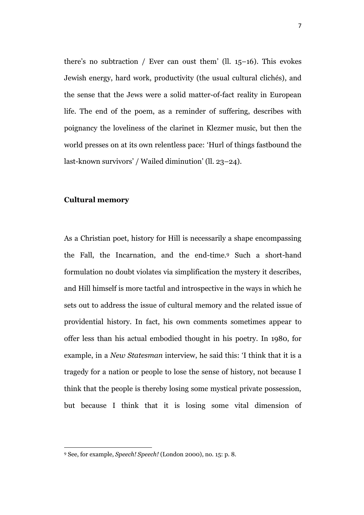there's no subtraction / Ever can oust them' (ll. 15–16). This evokes Jewish energy, hard work, productivity (the usual cultural clichés), and the sense that the Jews were a solid matter-of-fact reality in European life. The end of the poem, as a reminder of suffering, describes with poignancy the loveliness of the clarinet in Klezmer music, but then the world presses on at its own relentless pace: 'Hurl of things fastbound the last-known survivors' / Wailed diminution' (ll. 23–24).

### **Cultural memory**

 $\overline{a}$ 

As a Christian poet, history for Hill is necessarily a shape encompassing the Fall, the Incarnation, and the end-time.<sup>9</sup> Such a short-hand formulation no doubt violates via simplification the mystery it describes, and Hill himself is more tactful and introspective in the ways in which he sets out to address the issue of cultural memory and the related issue of providential history. In fact, his own comments sometimes appear to offer less than his actual embodied thought in his poetry. In 1980, for example, in a *New Statesman* interview, he said this: 'I think that it is a tragedy for a nation or people to lose the sense of history, not because I think that the people is thereby losing some mystical private possession, but because I think that it is losing some vital dimension of

<sup>9</sup> See, for example, *Speech! Speech!* (London 2000), no. 15: p. 8.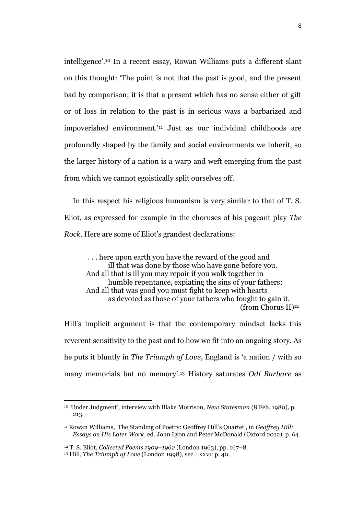intelligence'. <sup>10</sup> In a recent essay, Rowan Williams puts a different slant on this thought: 'The point is not that the past is good, and the present bad by comparison; it is that a present which has no sense either of gift or of loss in relation to the past is in serious ways a barbarized and impoverished environment.' <sup>11</sup> Just as our individual childhoods are profoundly shaped by the family and social environments we inherit, so the larger history of a nation is a warp and weft emerging from the past from which we cannot egoistically split ourselves off.

In this respect his religious humanism is very similar to that of T. S. Eliot, as expressed for example in the choruses of his pageant play *The Rock.* Here are some of Eliot's grandest declarations:

. . . here upon earth you have the reward of the good and ill that was done by those who have gone before you. And all that is ill you may repair if you walk together in humble repentance, expiating the sins of your fathers; And all that was good you must fight to keep with hearts as devoted as those of your fathers who fought to gain it. (from Chorus II)<sup>12</sup>

Hill's implicit argument is that the contemporary mindset lacks this reverent sensitivity to the past and to how we fit into an ongoing story. As he puts it bluntly in *The Triumph of Love*, England is 'a nation / with so many memorials but no memory'. <sup>13</sup> History saturates *Odi Barbare* as

<sup>10</sup> 'Under Judgment', interview with Blake Morrison, *New Statesman* (8 Feb. 1980), p. 213.

<sup>11</sup> Rowan Williams, 'The Standing of Poetry: Geoffrey Hill's Quartet', in *Geoffrey Hill: Essays on His Later Work*, ed. John Lyon and Peter McDonald (Oxford 2012), p. 64.

<sup>12</sup> T. S. Eliot, *Collected Poems 1909–1962* (London 1963), pp. 167–8.

<sup>13</sup> Hill, *The Triumph of Love* (London 1998), sec. LXXVI: p. 40.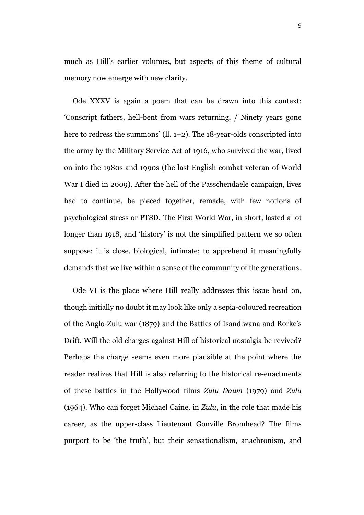much as Hill's earlier volumes, but aspects of this theme of cultural memory now emerge with new clarity.

Ode XXXV is again a poem that can be drawn into this context: 'Conscript fathers, hell-bent from wars returning, / Ninety years gone here to redress the summons' (ll. 1–2). The 18-year-olds conscripted into the army by the Military Service Act of 1916, who survived the war, lived on into the 1980s and 1990s (the last English combat veteran of World War I died in 2009). After the hell of the Passchendaele campaign, lives had to continue, be pieced together, remade, with few notions of psychological stress or PTSD. The First World War, in short, lasted a lot longer than 1918, and 'history' is not the simplified pattern we so often suppose: it is close, biological, intimate; to apprehend it meaningfully demands that we live within a sense of the community of the generations.

Ode VI is the place where Hill really addresses this issue head on, though initially no doubt it may look like only a sepia-coloured recreation of the Anglo-Zulu war (1879) and the Battles of Isandlwana and Rorke's Drift. Will the old charges against Hill of historical nostalgia be revived? Perhaps the charge seems even more plausible at the point where the reader realizes that Hill is also referring to the historical re-enactments of these battles in the Hollywood films *Zulu Dawn* (1979) and *Zulu*  (1964). Who can forget Michael Caine, in *Zulu*, in the role that made his career, as the upper-class Lieutenant Gonville Bromhead? The films purport to be 'the truth', but their sensationalism, anachronism, and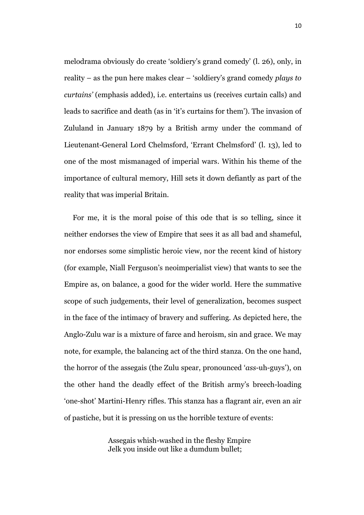melodrama obviously do create 'soldiery's grand comedy' (l. 26), only, in reality – as the pun here makes clear – 'soldiery's grand comedy *plays to curtains'* (emphasis added), i.e. entertains us (receives curtain calls) and leads to sacrifice and death (as in 'it's curtains for them'). The invasion of Zululand in January 1879 by a British army under the command of Lieutenant-General Lord Chelmsford, 'Errant Chelmsford' (l. 13), led to one of the most mismanaged of imperial wars. Within his theme of the importance of cultural memory, Hill sets it down defiantly as part of the reality that was imperial Britain.

For me, it is the moral poise of this ode that is so telling, since it neither endorses the view of Empire that sees it as all bad and shameful, nor endorses some simplistic heroic view, nor the recent kind of history (for example, Niall Ferguson's neoimperialist view) that wants to see the Empire as, on balance, a good for the wider world. Here the summative scope of such judgements, their level of generalization, becomes suspect in the face of the intimacy of bravery and suffering. As depicted here, the Anglo-Zulu war is a mixture of farce and heroism, sin and grace. We may note, for example, the balancing act of the third stanza. On the one hand, the horror of the assegais (the Zulu spear, pronounced '*ass*-uh-guys'), on the other hand the deadly effect of the British army's breech-loading 'one-shot' Martini-Henry rifles. This stanza has a flagrant air, even an air of pastiche, but it is pressing on us the horrible texture of events:

> Assegais whish-washed in the fleshy Empire Jelk you inside out like a dumdum bullet;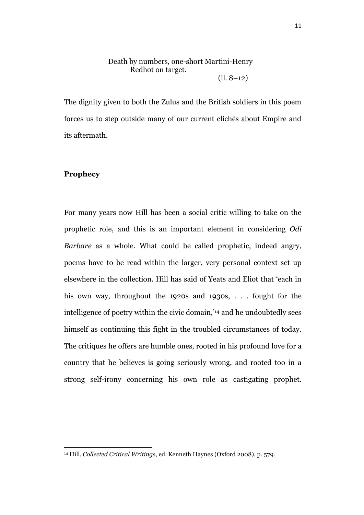#### Death by numbers, one-short Martini-Henry Redhot on target. (ll. 8–12)

The dignity given to both the Zulus and the British soldiers in this poem forces us to step outside many of our current clichés about Empire and its aftermath.

## **Prophecy**

 $\overline{a}$ 

For many years now Hill has been a social critic willing to take on the prophetic role, and this is an important element in considering *Odi Barbare* as a whole. What could be called prophetic, indeed angry, poems have to be read within the larger, very personal context set up elsewhere in the collection. Hill has said of Yeats and Eliot that 'each in his own way, throughout the 1920s and 1930s, . . . fought for the intelligence of poetry within the civic domain,' <sup>14</sup> and he undoubtedly sees himself as continuing this fight in the troubled circumstances of today. The critiques he offers are humble ones, rooted in his profound love for a country that he believes is going seriously wrong, and rooted too in a strong self-irony concerning his own role as castigating prophet.

<sup>14</sup> Hill, *Collected Critical Writings*, ed. Kenneth Haynes (Oxford 2008), p. 579.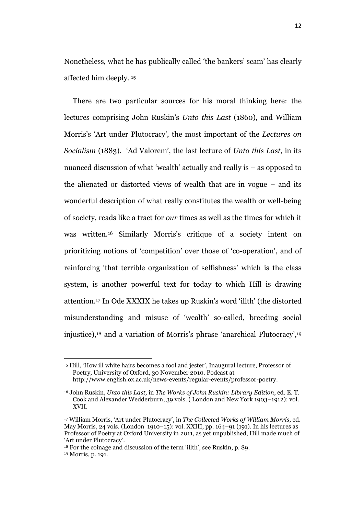Nonetheless, what he has publically called 'the bankers' scam' has clearly affected him deeply. <sup>15</sup>

There are two particular sources for his moral thinking here: the lectures comprising John Ruskin's *Unto this Last* (1860), and William Morris's 'Art under Plutocracy', the most important of the *Lectures on Socialism* (1883)*.* 'Ad Valorem', the last lecture of *Unto this Last*, in its nuanced discussion of what 'wealth' actually and really is – as opposed to the alienated or distorted views of wealth that are in vogue – and its wonderful description of what really constitutes the wealth or well-being of society, reads like a tract for *our* times as well as the times for which it was written.<sup>16</sup> Similarly Morris's critique of a society intent on prioritizing notions of 'competition' over those of 'co-operation', and of reinforcing 'that terrible organization of selfishness' which is the class system, is another powerful text for today to which Hill is drawing attention. <sup>17</sup> In Ode XXXIX he takes up Ruskin's word 'illth' (the distorted misunderstanding and misuse of 'wealth' so-called, breeding social injustice), <sup>18</sup> and a variation of Morris's phrase 'anarchical Plutocracy', 19

<sup>15</sup> Hill, 'How ill white hairs becomes a fool and jester', Inaugural lecture, Professor of Poetry, University of Oxford, 30 November 2010. Podcast at http://www.english.ox.ac.uk/news-events/regular-events/professor-poetry.

<sup>16</sup> John Ruskin, *Unto this Last,* in *The Works of John Ruskin: Library Edition*, ed. E. T. Cook and Alexander Wedderburn, 39 vols. ( London and New York 1903–1912): vol. XVII.

<sup>17</sup> William Morris, 'Art under Plutocracy', in *The Collected Works of William Morris*, ed. May Morris, 24 vols. (London 1910–15): vol. XXIII, pp. 164–91 (191). In his lectures as Professor of Poetry at Oxford University in 2011, as yet unpublished, Hill made much of 'Art under Plutocracy'.

<sup>18</sup> For the coinage and discussion of the term 'illth', see Ruskin, p. 89. <sup>19</sup> Morris, p. 191.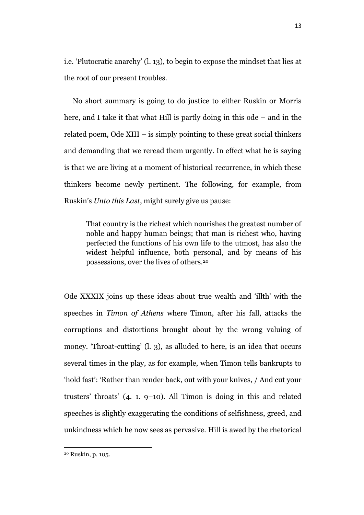i.e. 'Plutocratic anarchy' (l. 13), to begin to expose the mindset that lies at the root of our present troubles.

No short summary is going to do justice to either Ruskin or Morris here, and I take it that what Hill is partly doing in this ode – and in the related poem, Ode XIII – is simply pointing to these great social thinkers and demanding that we reread them urgently. In effect what he is saying is that we are living at a moment of historical recurrence, in which these thinkers become newly pertinent. The following, for example, from Ruskin's *Unto this Last*, might surely give us pause:

That country is the richest which nourishes the greatest number of noble and happy human beings; that man is richest who, having perfected the functions of his own life to the utmost, has also the widest helpful influence, both personal, and by means of his possessions, over the lives of others.<sup>20</sup>

Ode XXXIX joins up these ideas about true wealth and 'illth' with the speeches in *Timon of Athens* where Timon, after his fall, attacks the corruptions and distortions brought about by the wrong valuing of money. 'Throat-cutting' (l. 3), as alluded to here, is an idea that occurs several times in the play, as for example, when Timon tells bankrupts to 'hold fast': 'Rather than render back, out with your knives, / And cut your trusters' throats' (4. 1. 9–10). All Timon is doing in this and related speeches is slightly exaggerating the conditions of selfishness, greed, and unkindness which he now sees as pervasive. Hill is awed by the rhetorical

<sup>20</sup> Ruskin, p. 105.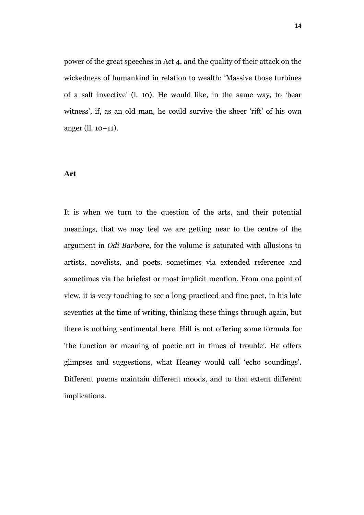power of the great speeches in Act 4, and the quality of their attack on the wickedness of humankind in relation to wealth: 'Massive those turbines of a salt invective' (l. 10). He would like, in the same way, to 'bear witness', if, as an old man, he could survive the sheer 'rift' of his own anger (ll. 10–11).

#### **Art**

It is when we turn to the question of the arts, and their potential meanings, that we may feel we are getting near to the centre of the argument in *Odi Barbare*, for the volume is saturated with allusions to artists, novelists, and poets, sometimes via extended reference and sometimes via the briefest or most implicit mention. From one point of view, it is very touching to see a long-practiced and fine poet, in his late seventies at the time of writing, thinking these things through again, but there is nothing sentimental here. Hill is not offering some formula for 'the function or meaning of poetic art in times of trouble'. He offers glimpses and suggestions, what Heaney would call 'echo soundings'. Different poems maintain different moods, and to that extent different implications.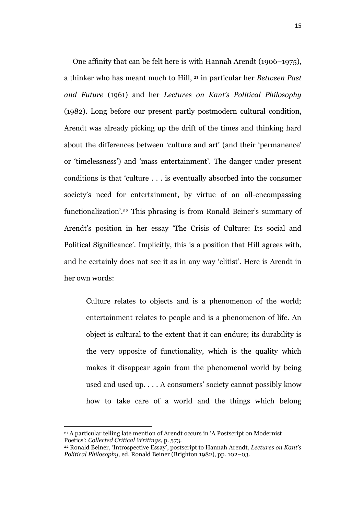One affinity that can be felt here is with Hannah Arendt (1906–1975), a thinker who has meant much to Hill, <sup>21</sup> in particular her *Between Past and Future* (1961) and her *Lectures on Kant's Political Philosophy* (1982). Long before our present partly postmodern cultural condition, Arendt was already picking up the drift of the times and thinking hard about the differences between 'culture and art' (and their 'permanence' or 'timelessness') and 'mass entertainment'. The danger under present conditions is that 'culture . . . is eventually absorbed into the consumer society's need for entertainment, by virtue of an all-encompassing functionalization'. <sup>22</sup> This phrasing is from Ronald Beiner's summary of Arendt's position in her essay 'The Crisis of Culture: Its social and Political Significance'. Implicitly, this is a position that Hill agrees with, and he certainly does not see it as in any way 'elitist'. Here is Arendt in her own words:

Culture relates to objects and is a phenomenon of the world; entertainment relates to people and is a phenomenon of life. An object is cultural to the extent that it can endure; its durability is the very opposite of functionality, which is the quality which makes it disappear again from the phenomenal world by being used and used up. . . . A consumers' society cannot possibly know how to take care of a world and the things which belong

<sup>21</sup> A particular telling late mention of Arendt occurs in 'A Postscript on Modernist Poetics': *Collected Critical Writings*, p. 573.

<sup>22</sup> Ronald Beiner, 'Introspective Essay', postscript to Hannah Arendt, *Lectures on Kant's Political Philosophy,* ed. Ronald Beiner (Brighton 1982), pp. 102–03.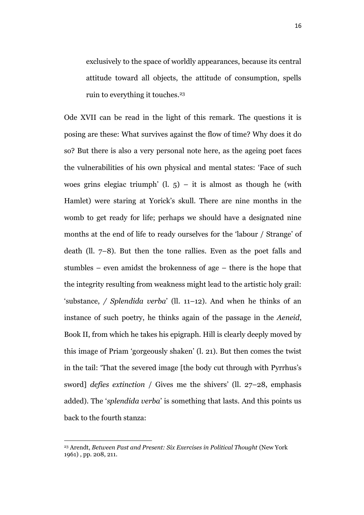exclusively to the space of worldly appearances, because its central attitude toward all objects, the attitude of consumption, spells ruin to everything it touches. 23

Ode XVII can be read in the light of this remark. The questions it is posing are these: What survives against the flow of time? Why does it do so? But there is also a very personal note here, as the ageing poet faces the vulnerabilities of his own physical and mental states: 'Face of such woes grins elegiac triumph'  $(l, 5)$  – it is almost as though he (with Hamlet) were staring at Yorick's skull. There are nine months in the womb to get ready for life; perhaps we should have a designated nine months at the end of life to ready ourselves for the 'labour / Strange' of death (ll. 7–8). But then the tone rallies. Even as the poet falls and stumbles – even amidst the brokenness of age – there is the hope that the integrity resulting from weakness might lead to the artistic holy grail: 'substance, */ Splendida verba*' (ll. 11–12). And when he thinks of an instance of such poetry, he thinks again of the passage in the *Aeneid*, Book II, from which he takes his epigraph. Hill is clearly deeply moved by this image of Priam 'gorgeously shaken' (l. 21). But then comes the twist in the tail: 'That the severed image [the body cut through with Pyrrhus's sword] *defies extinction* / Gives me the shivers' (ll. 27–28, emphasis added). The '*splendida verba*' is something that lasts. And this points us back to the fourth stanza:

<sup>23</sup> Arendt, *Between Past and Present: Six Exercises in Political Thought* (New York 1961) , pp. 208, 211.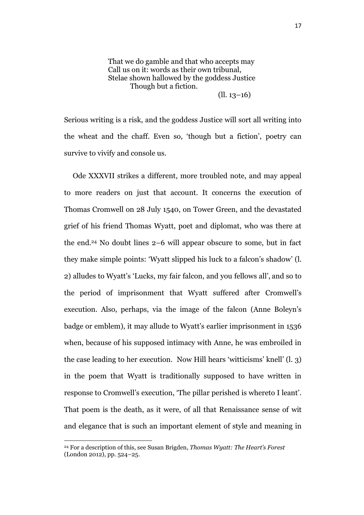That we do gamble and that who accepts may Call us on it: words as their own tribunal, Stelae shown hallowed by the goddess Justice Though but a fiction.

(ll. 13–16)

Serious writing is a risk, and the goddess Justice will sort all writing into the wheat and the chaff. Even so, 'though but a fiction', poetry can survive to vivify and console us.

Ode XXXVII strikes a different, more troubled note, and may appeal to more readers on just that account. It concerns the execution of Thomas Cromwell on 28 July 1540, on Tower Green, and the devastated grief of his friend Thomas Wyatt, poet and diplomat, who was there at the end. <sup>24</sup> No doubt lines 2–6 will appear obscure to some, but in fact they make simple points: 'Wyatt slipped his luck to a falcon's shadow' (l. 2) alludes to Wyatt's 'Lucks, my fair falcon, and you fellows all', and so to the period of imprisonment that Wyatt suffered after Cromwell's execution. Also, perhaps, via the image of the falcon (Anne Boleyn's badge or emblem), it may allude to Wyatt's earlier imprisonment in 1536 when, because of his supposed intimacy with Anne, he was embroiled in the case leading to her execution. Now Hill hears 'witticisms' knell' (l. 3) in the poem that Wyatt is traditionally supposed to have written in response to Cromwell's execution, 'The pillar perished is whereto I leant'. That poem is the death, as it were, of all that Renaissance sense of wit and elegance that is such an important element of style and meaning in

<sup>24</sup> For a description of this, see Susan Brigden, *Thomas Wyatt: The Heart's Forest*  (London 2012), pp. 524–25.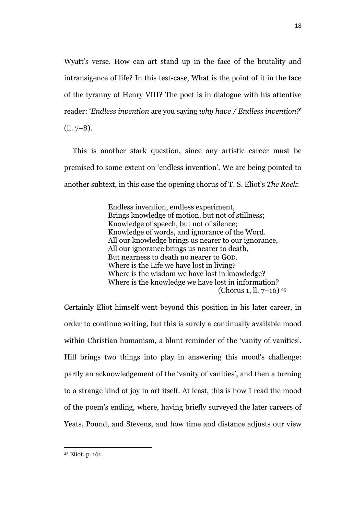Wyatt's verse. How can art stand up in the face of the brutality and intransigence of life? In this test-case, What is the point of it in the face of the tyranny of Henry VIII? The poet is in dialogue with his attentive reader: '*Endless invention* are you saying *why have / Endless invention?*'  $(11.7-8).$ 

This is another stark question, since any artistic career must be premised to some extent on 'endless invention'. We are being pointed to another subtext, in this case the opening chorus of T. S. Eliot's *The Rock*:

> Endless invention, endless experiment, Brings knowledge of motion, but not of stillness; Knowledge of speech, but not of silence; Knowledge of words, and ignorance of the Word. All our knowledge brings us nearer to our ignorance, All our ignorance brings us nearer to death, But nearness to death no nearer to GOD. Where is the Life we have lost in living? Where is the wisdom we have lost in knowledge? Where is the knowledge we have lost in information? (Chorus 1, ll. 7–16) 25

Certainly Eliot himself went beyond this position in his later career, in order to continue writing, but this is surely a continually available mood within Christian humanism, a blunt reminder of the 'vanity of vanities'. Hill brings two things into play in answering this mood's challenge: partly an acknowledgement of the 'vanity of vanities', and then a turning to a strange kind of joy in art itself. At least, this is how I read the mood of the poem's ending, where, having briefly surveyed the later careers of Yeats, Pound, and Stevens, and how time and distance adjusts our view

<sup>25</sup> Eliot, p. 161.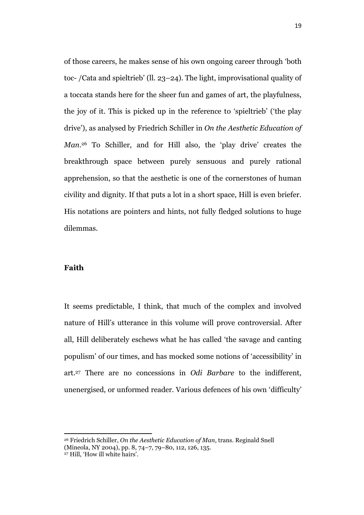of those careers, he makes sense of his own ongoing career through 'both toc- /Cata and spieltrieb' (ll. 23–24). The light, improvisational quality of a toccata stands here for the sheer fun and games of art, the playfulness, the joy of it. This is picked up in the reference to 'spieltrieb' ('the play drive'), as analysed by Friedrich Schiller in *On the Aesthetic Education of Man.* <sup>26</sup> To Schiller, and for Hill also, the 'play drive' creates the breakthrough space between purely sensuous and purely rational apprehension, so that the aesthetic is one of the cornerstones of human civility and dignity. If that puts a lot in a short space, Hill is even briefer. His notations are pointers and hints, not fully fledged solutions to huge dilemmas.

### **Faith**

It seems predictable, I think, that much of the complex and involved nature of Hill's utterance in this volume will prove controversial. After all, Hill deliberately eschews what he has called 'the savage and canting populism' of our times, and has mocked some notions of 'accessibility' in art.<sup>27</sup> There are no concessions in *Odi Barbare* to the indifferent, unenergised, or unformed reader. Various defences of his own 'difficulty'

<sup>26</sup> Friedrich Schiller, *On the Aesthetic Education of Man*, trans. Reginald Snell

<sup>(</sup>Mineola, NY 2004), pp. 8, 74–7, 79–80, 112, 126, 135.

<sup>27</sup> Hill, 'How ill white hairs'.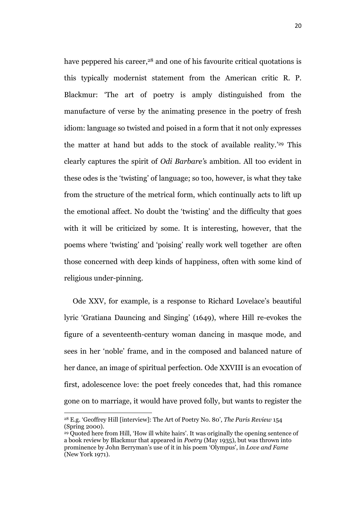have peppered his career,<sup>28</sup> and one of his favourite critical quotations is this typically modernist statement from the American critic R. P. Blackmur: 'The art of poetry is amply distinguished from the manufacture of verse by the animating presence in the poetry of fresh idiom: language so twisted and poised in a form that it not only expresses the matter at hand but adds to the stock of available reality.' <sup>29</sup> This clearly captures the spirit of *Odi Barbare'*s ambition. All too evident in these odes is the 'twisting' of language; so too, however, is what they take from the structure of the metrical form, which continually acts to lift up the emotional affect. No doubt the 'twisting' and the difficulty that goes with it will be criticized by some. It is interesting, however, that the poems where 'twisting' and 'poising' really work well together are often those concerned with deep kinds of happiness, often with some kind of religious under-pinning.

Ode XXV, for example, is a response to Richard Lovelace's beautiful lyric 'Gratiana Dauncing and Singing' (1649), where Hill re-evokes the figure of a seventeenth-century woman dancing in masque mode, and sees in her 'noble' frame, and in the composed and balanced nature of her dance, an image of spiritual perfection. Ode XXVIII is an evocation of first, adolescence love: the poet freely concedes that, had this romance gone on to marriage, it would have proved folly, but wants to register the

<sup>28</sup> E.g. 'Geoffrey Hill [interview]: The Art of Poetry No. 80', *The Paris Review* 154 (Spring 2000).

<sup>&</sup>lt;sup>29</sup> Quoted here from Hill, 'How ill white hairs'. It was originally the opening sentence of a book review by Blackmur that appeared in *Poetry* (May 1935), but was thrown into prominence by John Berryman's use of it in his poem 'Olympus', in *Love and Fame* (New York 1971).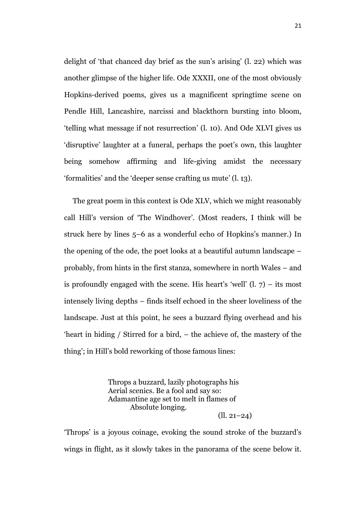delight of 'that chanced day brief as the sun's arising' (l. 22) which was another glimpse of the higher life. Ode XXXII, one of the most obviously Hopkins-derived poems, gives us a magnificent springtime scene on Pendle Hill, Lancashire, narcissi and blackthorn bursting into bloom, 'telling what message if not resurrection' (l. 10). And Ode XLVI gives us 'disruptive' laughter at a funeral, perhaps the poet's own, this laughter being somehow affirming and life-giving amidst the necessary 'formalities' and the 'deeper sense crafting us mute' (l. 13).

The great poem in this context is Ode XLV, which we might reasonably call Hill's version of 'The Windhover'. (Most readers, I think will be struck here by lines 5–6 as a wonderful echo of Hopkins's manner.) In the opening of the ode, the poet looks at a beautiful autumn landscape – probably, from hints in the first stanza, somewhere in north Wales – and is profoundly engaged with the scene. His heart's 'well'  $(l, 7)$  – its most intensely living depths – finds itself echoed in the sheer loveliness of the landscape. Just at this point, he sees a buzzard flying overhead and his 'heart in hiding / Stirred for a bird, – the achieve of, the mastery of the thing'; in Hill's bold reworking of those famous lines:

> Throps a buzzard, lazily photographs his Aerial scenics. Be a fool and say so: Adamantine age set to melt in flames of Absolute longing. (ll. 21–24)

'Throps' is a joyous coinage, evoking the sound stroke of the buzzard's wings in flight, as it slowly takes in the panorama of the scene below it.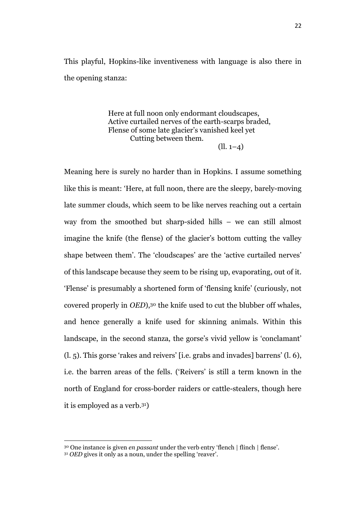This playful, Hopkins-like inventiveness with language is also there in the opening stanza:

> Here at full noon only endormant cloudscapes, Active curtailed nerves of the earth-scarps braded, Flense of some late glacier's vanished keel yet Cutting between them.  $(1, 1-4)$

Meaning here is surely no harder than in Hopkins. I assume something like this is meant: 'Here, at full noon, there are the sleepy, barely-moving late summer clouds, which seem to be like nerves reaching out a certain way from the smoothed but sharp-sided hills – we can still almost imagine the knife (the flense) of the glacier's bottom cutting the valley shape between them'. The 'cloudscapes' are the 'active curtailed nerves' of this landscape because they seem to be rising up, evaporating, out of it. 'Flense' is presumably a shortened form of 'flensing knife' (curiously, not covered properly in *OED*),<sup>30</sup> the knife used to cut the blubber off whales, and hence generally a knife used for skinning animals. Within this landscape, in the second stanza, the gorse's vivid yellow is 'conclamant' (l. 5). This gorse 'rakes and reivers' [i.e. grabs and invades] barrens' (l. 6), i.e. the barren areas of the fells. ('Reivers' is still a term known in the north of England for cross-border raiders or cattle-stealers, though here it is employed as a verb.31)

<sup>30</sup> One instance is given *en passant* under the verb entry 'flench | flinch | flense'.

<sup>31</sup> *OED* gives it only as a noun, under the spelling 'reaver'.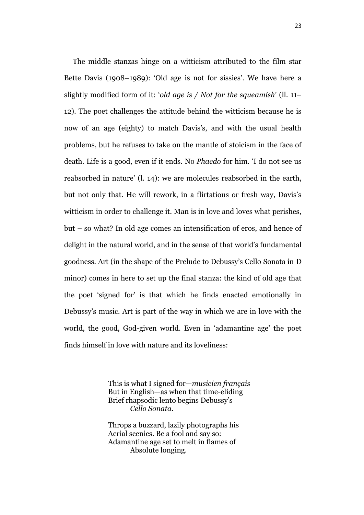The middle stanzas hinge on a witticism attributed to the film star Bette Davis (1908–1989): 'Old age is not for sissies'. We have here a slightly modified form of it: '*old age is / Not for the squeamish*' (ll. 11– 12). The poet challenges the attitude behind the witticism because he is now of an age (eighty) to match Davis's, and with the usual health problems, but he refuses to take on the mantle of stoicism in the face of death. Life is a good, even if it ends. No *Phaedo* for him. 'I do not see us reabsorbed in nature' (l. 14): we are molecules reabsorbed in the earth, but not only that. He will rework, in a flirtatious or fresh way, Davis's witticism in order to challenge it. Man is in love and loves what perishes, but – so what? In old age comes an intensification of eros, and hence of delight in the natural world, and in the sense of that world's fundamental goodness. Art (in the shape of the Prelude to Debussy's Cello Sonata in D minor) comes in here to set up the final stanza: the kind of old age that the poet 'signed for' is that which he finds enacted emotionally in Debussy's music. Art is part of the way in which we are in love with the world, the good, God-given world. Even in 'adamantine age' the poet finds himself in love with nature and its loveliness:

> This is what I signed for—*musicien français* But in English—as when that time-eliding Brief rhapsodic lento begins Debussy's *Cello Sonata*.

Throps a buzzard, lazily photographs his Aerial scenics. Be a fool and say so: Adamantine age set to melt in flames of Absolute longing.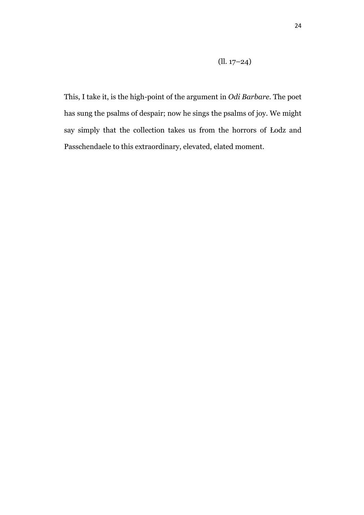(ll. 17–24)

This, I take it, is the high-point of the argument in *Odi Barbare.* The poet has sung the psalms of despair; now he sings the psalms of joy. We might say simply that the collection takes us from the horrors of Łodz and Passchendaele to this extraordinary, elevated, elated moment.